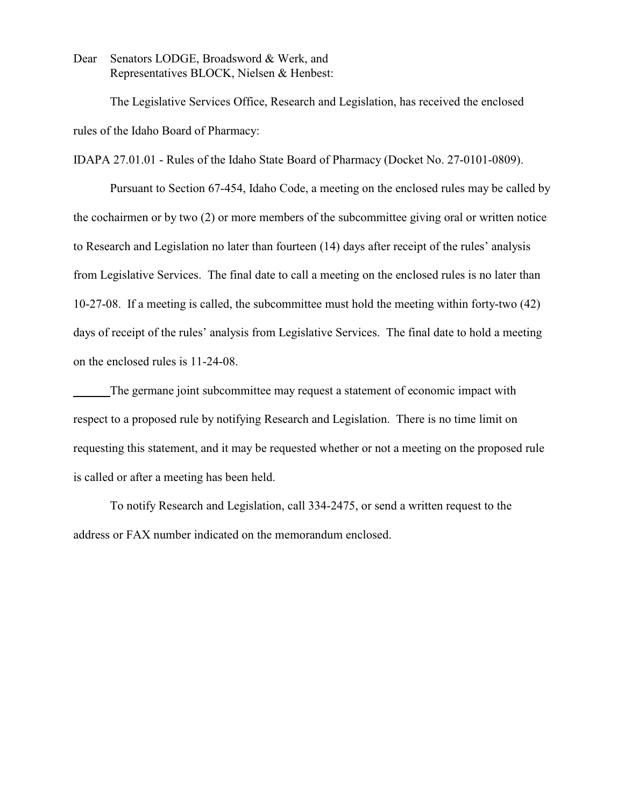Dear Senators LODGE, Broadsword & Werk, and Representatives BLOCK, Nielsen & Henbest:

The Legislative Services Office, Research and Legislation, has received the enclosed rules of the Idaho Board of Pharmacy:

IDAPA 27.01.01 - Rules of the Idaho State Board of Pharmacy (Docket No. 27-0101-0809).

Pursuant to Section 67-454, Idaho Code, a meeting on the enclosed rules may be called by the cochairmen or by two (2) or more members of the subcommittee giving oral or written notice to Research and Legislation no later than fourteen (14) days after receipt of the rules' analysis from Legislative Services. The final date to call a meeting on the enclosed rules is no later than 10-27-08. If a meeting is called, the subcommittee must hold the meeting within forty-two (42) days of receipt of the rules' analysis from Legislative Services. The final date to hold a meeting on the enclosed rules is 11-24-08.

The germane joint subcommittee may request a statement of economic impact with respect to a proposed rule by notifying Research and Legislation. There is no time limit on requesting this statement, and it may be requested whether or not a meeting on the proposed rule is called or after a meeting has been held.

To notify Research and Legislation, call 334-2475, or send a written request to the address or FAX number indicated on the memorandum enclosed.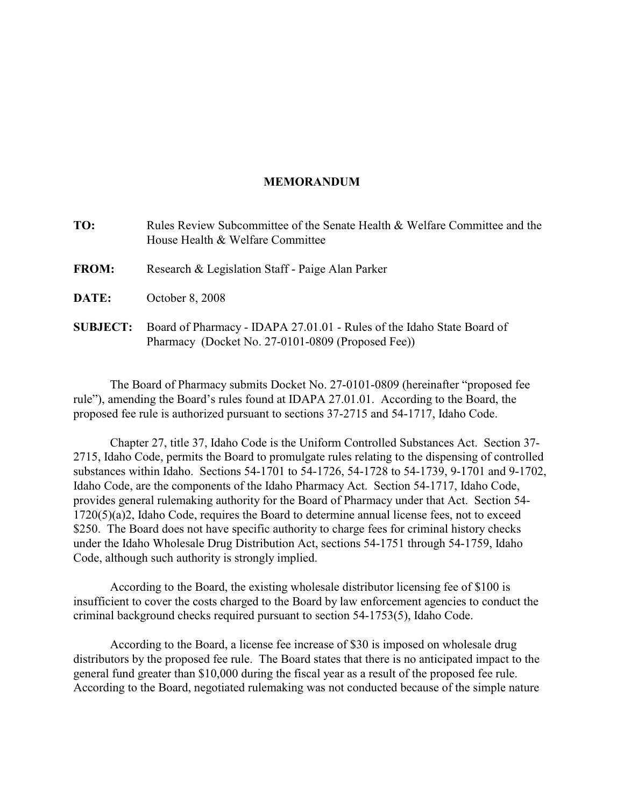### **MEMORANDUM**

| TO:             | Rules Review Subcommittee of the Senate Health & Welfare Committee and the<br>House Health & Welfare Committee              |
|-----------------|-----------------------------------------------------------------------------------------------------------------------------|
| <b>FROM:</b>    | Research & Legislation Staff - Paige Alan Parker                                                                            |
| DATE:           | October 8, 2008                                                                                                             |
| <b>SUBJECT:</b> | Board of Pharmacy - IDAPA 27.01.01 - Rules of the Idaho State Board of<br>Pharmacy (Docket No. 27-0101-0809 (Proposed Fee)) |

The Board of Pharmacy submits Docket No. 27-0101-0809 (hereinafter "proposed fee rule"), amending the Board's rules found at IDAPA 27.01.01. According to the Board, the proposed fee rule is authorized pursuant to sections 37-2715 and 54-1717, Idaho Code.

Chapter 27, title 37, Idaho Code is the Uniform Controlled Substances Act. Section 37- 2715, Idaho Code, permits the Board to promulgate rules relating to the dispensing of controlled substances within Idaho. Sections 54-1701 to 54-1726, 54-1728 to 54-1739, 9-1701 and 9-1702, Idaho Code, are the components of the Idaho Pharmacy Act. Section 54-1717, Idaho Code, provides general rulemaking authority for the Board of Pharmacy under that Act. Section 54- 1720(5)(a)2, Idaho Code, requires the Board to determine annual license fees, not to exceed \$250. The Board does not have specific authority to charge fees for criminal history checks under the Idaho Wholesale Drug Distribution Act, sections 54-1751 through 54-1759, Idaho Code, although such authority is strongly implied.

According to the Board, the existing wholesale distributor licensing fee of \$100 is insufficient to cover the costs charged to the Board by law enforcement agencies to conduct the criminal background checks required pursuant to section 54-1753(5), Idaho Code.

According to the Board, a license fee increase of \$30 is imposed on wholesale drug distributors by the proposed fee rule. The Board states that there is no anticipated impact to the general fund greater than \$10,000 during the fiscal year as a result of the proposed fee rule. According to the Board, negotiated rulemaking was not conducted because of the simple nature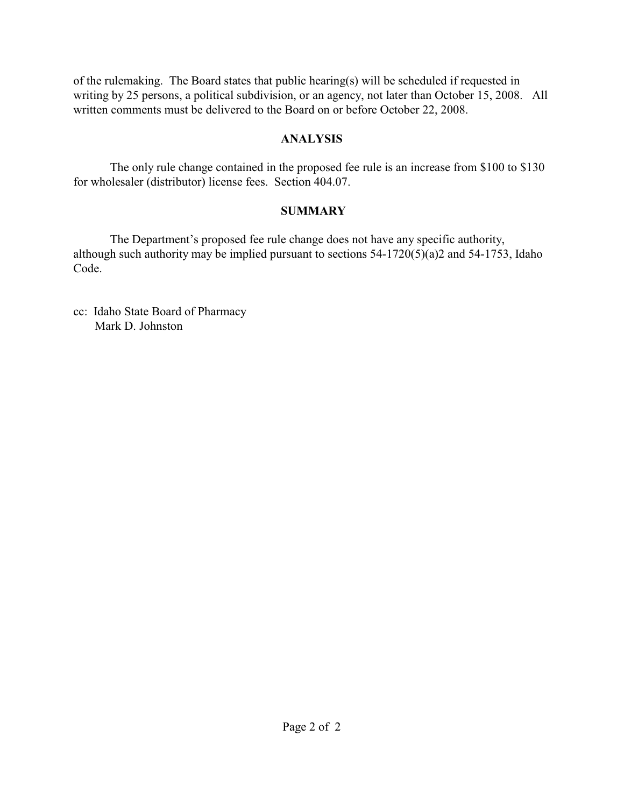of the rulemaking. The Board states that public hearing(s) will be scheduled if requested in writing by 25 persons, a political subdivision, or an agency, not later than October 15, 2008. All written comments must be delivered to the Board on or before October 22, 2008.

## **ANALYSIS**

The only rule change contained in the proposed fee rule is an increase from \$100 to \$130 for wholesaler (distributor) license fees. Section 404.07.

# **SUMMARY**

The Department's proposed fee rule change does not have any specific authority, although such authority may be implied pursuant to sections 54-1720(5)(a)2 and 54-1753, Idaho Code.

cc: Idaho State Board of Pharmacy Mark D. Johnston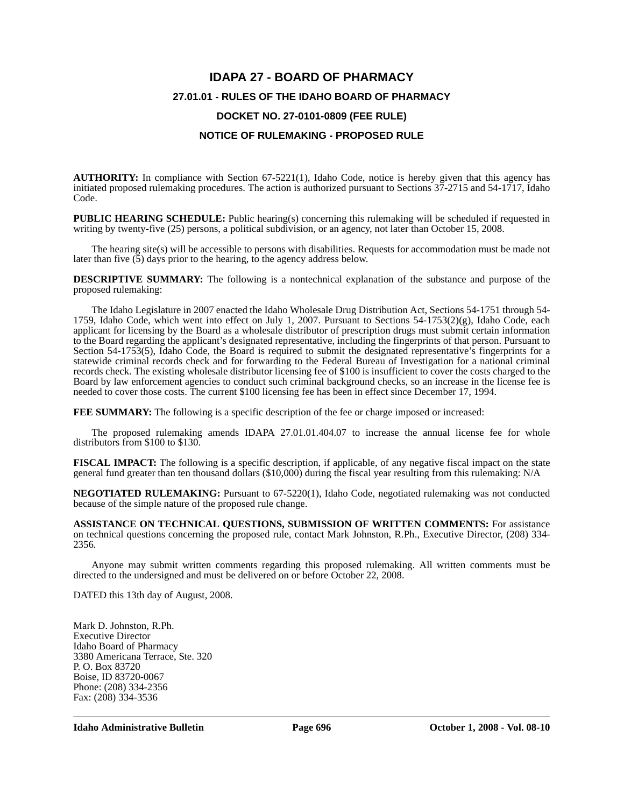# **IDAPA 27 - BOARD OF PHARMACY 27.01.01 - RULES OF THE IDAHO BOARD OF PHARMACY DOCKET NO. 27-0101-0809 (FEE RULE) NOTICE OF RULEMAKING - PROPOSED RULE**

**AUTHORITY:** In compliance with Section 67-5221(1), Idaho Code, notice is hereby given that this agency has initiated proposed rulemaking procedures. The action is authorized pursuant to Sections 37-2715 and 54-1717, Idaho Code.

**PUBLIC HEARING SCHEDULE:** Public hearing(s) concerning this rulemaking will be scheduled if requested in writing by twenty-five (25) persons, a political subdivision, or an agency, not later than October 15, 2008.

The hearing site(s) will be accessible to persons with disabilities. Requests for accommodation must be made not later than five (5) days prior to the hearing, to the agency address below.

**DESCRIPTIVE SUMMARY:** The following is a nontechnical explanation of the substance and purpose of the proposed rulemaking:

The Idaho Legislature in 2007 enacted the Idaho Wholesale Drug Distribution Act, Sections 54-1751 through 54- 1759, Idaho Code, which went into effect on July 1, 2007. Pursuant to Sections 54-1753(2)(g), Idaho Code, each applicant for licensing by the Board as a wholesale distributor of prescription drugs must submit certain information to the Board regarding the applicant's designated representative, including the fingerprints of that person. Pursuant to Section 54-1753(5), Idaho Code, the Board is required to submit the designated representative's fingerprints for a statewide criminal records check and for forwarding to the Federal Bureau of Investigation for a national criminal records check. The existing wholesale distributor licensing fee of \$100 is insufficient to cover the costs charged to the Board by law enforcement agencies to conduct such criminal background checks, so an increase in the license fee is needed to cover those costs. The current \$100 licensing fee has been in effect since December 17, 1994.

**FEE SUMMARY:** The following is a specific description of the fee or charge imposed or increased:

The proposed rulemaking amends IDAPA 27.01.01.404.07 to increase the annual license fee for whole distributors from \$100 to \$130.

**FISCAL IMPACT:** The following is a specific description, if applicable, of any negative fiscal impact on the state general fund greater than ten thousand dollars (\$10,000) during the fiscal year resulting from this rulemaking: N/A

**NEGOTIATED RULEMAKING:** Pursuant to 67-5220(1), Idaho Code, negotiated rulemaking was not conducted because of the simple nature of the proposed rule change.

**ASSISTANCE ON TECHNICAL QUESTIONS, SUBMISSION OF WRITTEN COMMENTS:** For assistance on technical questions concerning the proposed rule, contact Mark Johnston, R.Ph., Executive Director, (208) 334- 2356*.*

Anyone may submit written comments regarding this proposed rulemaking. All written comments must be directed to the undersigned and must be delivered on or before October 22, 2008.

DATED this 13th day of August, 2008.

Mark D. Johnston, R.Ph. Executive Director Idaho Board of Pharmacy 3380 Americana Terrace, Ste. 320 P. O. Box 83720 Boise, ID 83720-0067 Phone: (208) 334-2356 Fax: (208) 334-3536